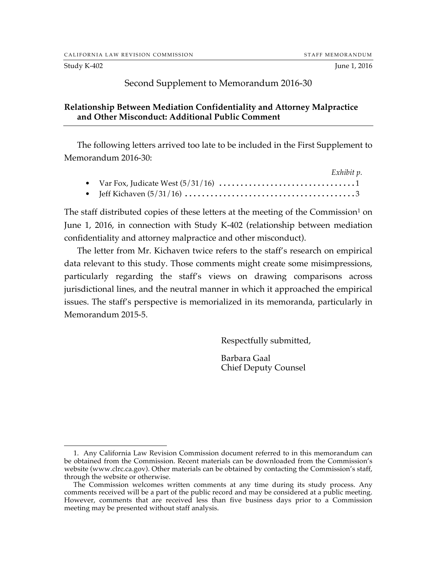Study K-402 June 1, 2016

## Second Supplement to Memorandum 2016-30

#### **Relationship Between Mediation Confidentiality and Attorney Malpractice and Other Misconduct: Additional Public Comment**

The following letters arrived too late to be included in the First Supplement to Memorandum 2016-30:

|  | Exhibit p. |
|--|------------|
|  |            |
|  |            |

The staff distributed copies of these letters at the meeting of the Commission<sup>1</sup> on June 1, 2016, in connection with Study K-402 (relationship between mediation confidentiality and attorney malpractice and other misconduct).

The letter from Mr. Kichaven twice refers to the staff's research on empirical data relevant to this study. Those comments might create some misimpressions, particularly regarding the staff's views on drawing comparisons across jurisdictional lines, and the neutral manner in which it approached the empirical issues. The staff's perspective is memorialized in its memoranda, particularly in Memorandum 2015-5.

Respectfully submitted,

Barbara Gaal Chief Deputy Counsel

 <sup>1.</sup> Any California Law Revision Commission document referred to in this memorandum can be obtained from the Commission. Recent materials can be downloaded from the Commission's website (www.clrc.ca.gov). Other materials can be obtained by contacting the Commission's staff, through the website or otherwise.

The Commission welcomes written comments at any time during its study process. Any comments received will be a part of the public record and may be considered at a public meeting. However, comments that are received less than five business days prior to a Commission meeting may be presented without staff analysis.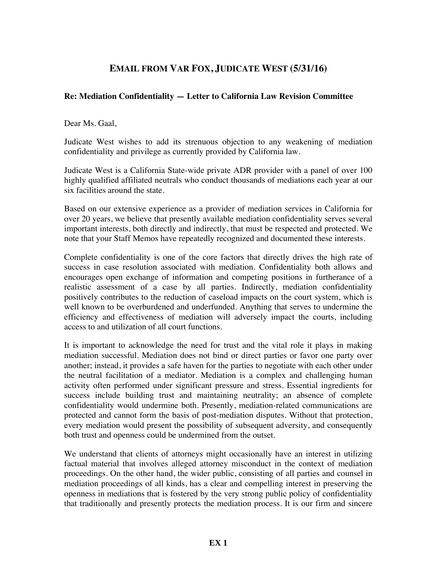# **EMAIL FROM VAR FOX, JUDICATE WEST (5/31/16)**

#### **Re: Mediation Confidentiality — Letter to California Law Revision Committee**

Dear Ms. Gaal,

Judicate West wishes to add its strenuous objection to any weakening of mediation confidentiality and privilege as currently provided by California law.

Judicate West is a California State-wide private ADR provider with a panel of over 100 highly qualified affiliated neutrals who conduct thousands of mediations each year at our six facilities around the state.

Based on our extensive experience as a provider of mediation services in California for over 20 years, we believe that presently available mediation confidentiality serves several important interests, both directly and indirectly, that must be respected and protected. We note that your Staff Memos have repeatedly recognized and documented these interests.

Complete confidentiality is one of the core factors that directly drives the high rate of success in case resolution associated with mediation. Confidentiality both allows and encourages open exchange of information and competing positions in furtherance of a realistic assessment of a case by all parties. Indirectly, mediation confidentiality positively contributes to the reduction of caseload impacts on the court system, which is well known to be overburdened and underfunded. Anything that serves to undermine the efficiency and effectiveness of mediation will adversely impact the courts, including access to and utilization of all court functions.

It is important to acknowledge the need for trust and the vital role it plays in making mediation successful. Mediation does not bind or direct parties or favor one party over another; instead, it provides a safe haven for the parties to negotiate with each other under the neutral facilitation of a mediator. Mediation is a complex and challenging human activity often performed under significant pressure and stress. Essential ingredients for success include building trust and maintaining neutrality; an absence of complete confidentiality would undermine both. Presently, mediation-related communications are protected and cannot form the basis of post-mediation disputes. Without that protection, every mediation would present the possibility of subsequent adversity, and consequently both trust and openness could be undermined from the outset.

We understand that clients of attorneys might occasionally have an interest in utilizing factual material that involves alleged attorney misconduct in the context of mediation proceedings. On the other hand, the wider public, consisting of all parties and counsel in mediation proceedings of all kinds, has a clear and compelling interest in preserving the openness in mediations that is fostered by the very strong public policy of confidentiality that traditionally and presently protects the mediation process. It is our firm and sincere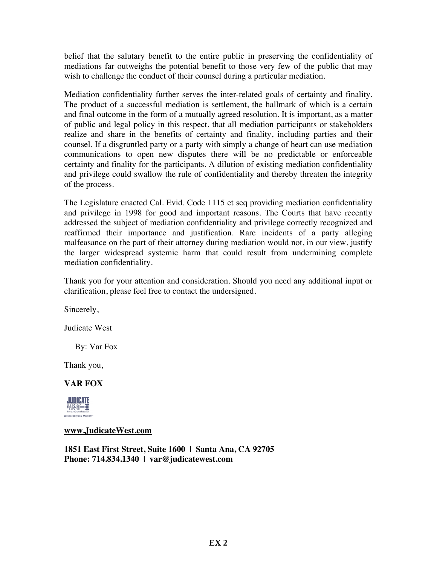belief that the salutary benefit to the entire public in preserving the confidentiality of mediations far outweighs the potential benefit to those very few of the public that may wish to challenge the conduct of their counsel during a particular mediation.

Mediation confidentiality further serves the inter-related goals of certainty and finality. The product of a successful mediation is settlement, the hallmark of which is a certain and final outcome in the form of a mutually agreed resolution. It is important, as a matter of public and legal policy in this respect, that all mediation participants or stakeholders realize and share in the benefits of certainty and finality, including parties and their counsel. If a disgruntled party or a party with simply a change of heart can use mediation communications to open new disputes there will be no predictable or enforceable certainty and finality for the participants. A dilution of existing mediation confidentiality and privilege could swallow the rule of confidentiality and thereby threaten the integrity of the process.

The Legislature enacted Cal. Evid. Code 1115 et seq providing mediation confidentiality and privilege in 1998 for good and important reasons. The Courts that have recently addressed the subject of mediation confidentiality and privilege correctly recognized and reaffirmed their importance and justification. Rare incidents of a party alleging malfeasance on the part of their attorney during mediation would not, in our view, justify the larger widespread systemic harm that could result from undermining complete mediation confidentiality.

Thank you for your attention and consideration. Should you need any additional input or clarification, please feel free to contact the undersigned.

Sincerely,

Judicate West

By: Var Fox

Thank you,

### **VAR FOX**



#### **www.JudicateWest.com**

**1851 East First Street, Suite 1600 | Santa Ana, CA 92705 Phone: 714.834.1340 | var@judicatewest.com**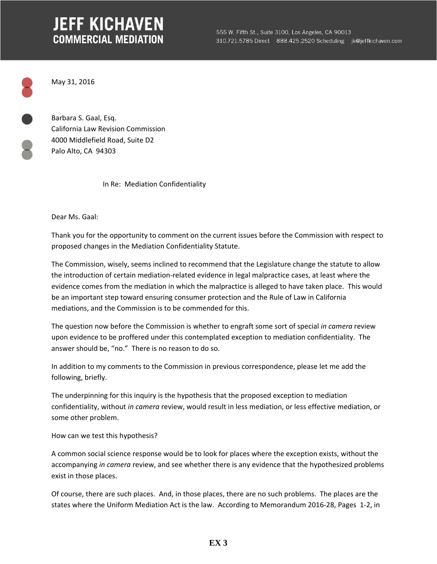# **JEFF KICHAVEN COMMERCIAL MEDIATION**

May 31, 2016

Barbara S. Gaal, Esq. California Law Revision Commission 4000 Middlefield Road, Suite D2 Palo Alto, CA 94303

In Re: Mediation Confidentiality

Dear Ms. Gaal:

Thank you for the opportunity to comment on the current issues before the Commission with respect to proposed changes in the Mediation Confidentiality Statute.

The Commission, wisely, seems inclined to recommend that the Legislature change the statute to allow the introduction of certain mediation‐related evidence in legal malpractice cases, at least where the evidence comes from the mediation in which the malpractice is alleged to have taken place. This would be an important step toward ensuring consumer protection and the Rule of Law in California mediations, and the Commission is to be commended for this.

The question now before the Commission is whether to engraft some sort of special *in camera* review upon evidence to be proffered under this contemplated exception to mediation confidentiality. The answer should be, "no." There is no reason to do so.

In addition to my comments to the Commission in previous correspondence, please let me add the following, briefly.

The underpinning for this inquiry is the hypothesis that the proposed exception to mediation confidentiality, without *in camera* review, would result in less mediation, or less effective mediation, or some other problem.

How can we test this hypothesis?

A common social science response would be to look for places where the exception exists, without the accompanying *in camera* review, and see whether there is any evidence that the hypothesized problems exist in those places.

Of course, there are such places. And, in those places, there are no such problems. The places are the states where the Uniform Mediation Act is the law. According to Memorandum 2016‐28, Pages 1‐2, in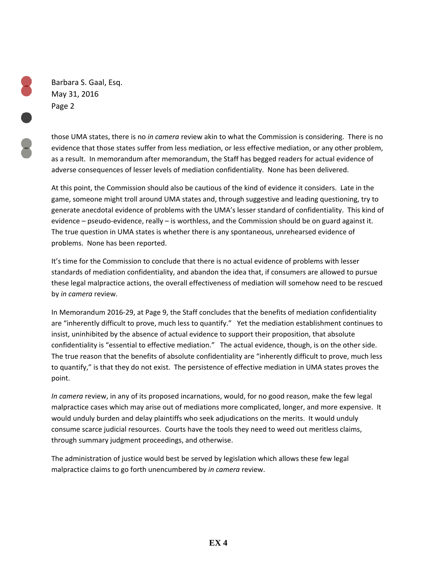Barbara S. Gaal, Esq. May 31, 2016 Page 2

those UMA states, there is no *in camera* review akin to what the Commission is considering. There is no evidence that those states suffer from less mediation, or less effective mediation, or any other problem, as a result. In memorandum after memorandum, the Staff has begged readers for actual evidence of adverse consequences of lesser levels of mediation confidentiality. None has been delivered.

At this point, the Commission should also be cautious of the kind of evidence it considers. Late in the game, someone might troll around UMA states and, through suggestive and leading questioning, try to generate anecdotal evidence of problems with the UMA's lesser standard of confidentiality. This kind of evidence – pseudo-evidence, really – is worthless, and the Commission should be on guard against it. The true question in UMA states is whether there is any spontaneous, unrehearsed evidence of problems. None has been reported.

It's time for the Commission to conclude that there is no actual evidence of problems with lesser standards of mediation confidentiality, and abandon the idea that, if consumers are allowed to pursue these legal malpractice actions, the overall effectiveness of mediation will somehow need to be rescued by *in camera* review.

In Memorandum 2016‐29, at Page 9, the Staff concludes that the benefits of mediation confidentiality are "inherently difficult to prove, much less to quantify." Yet the mediation establishment continues to insist, uninhibited by the absence of actual evidence to support their proposition, that absolute confidentiality is "essential to effective mediation." The actual evidence, though, is on the other side. The true reason that the benefits of absolute confidentiality are "inherently difficult to prove, much less to quantify," is that they do not exist. The persistence of effective mediation in UMA states proves the point.

*In camera* review, in any of its proposed incarnations, would, for no good reason, make the few legal malpractice cases which may arise out of mediations more complicated, longer, and more expensive. It would unduly burden and delay plaintiffs who seek adjudications on the merits. It would unduly consume scarce judicial resources. Courts have the tools they need to weed out meritless claims, through summary judgment proceedings, and otherwise.

The administration of justice would best be served by legislation which allows these few legal malpractice claims to go forth unencumbered by *in camera* review.